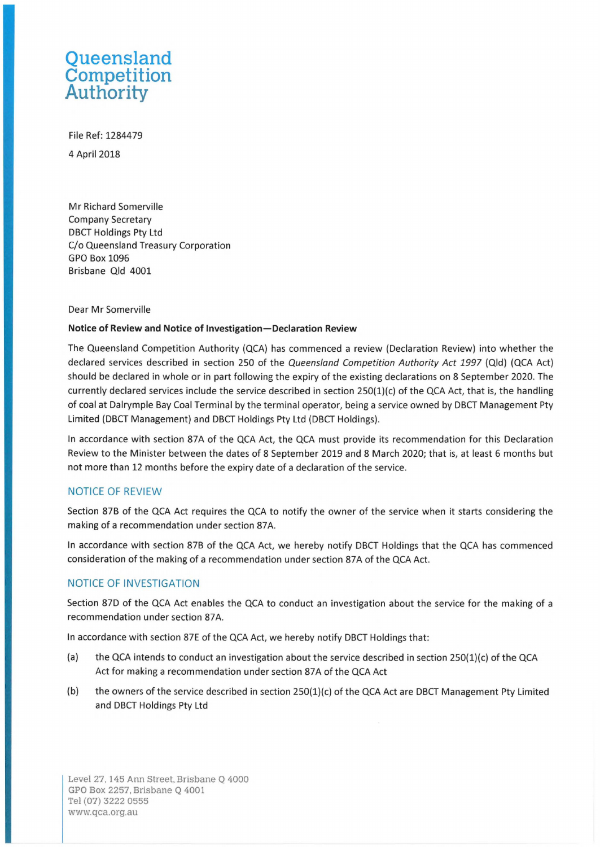# **Queensland Competition Authority**

File Ref: 1284479 4 April2018

Mr Richard Somerville Company Secretary DBCT Holdings Pty Ltd C/o Queensland Treasury Corporation GPO Box 1096 Brisbane Qld 4001

#### Dear Mr Somerville

## **Notice of Review and Notice of Investigation-Declaration Review**

The Queensland Competition Authority (QCA) has commenced a review (Declaration Review) into whether the declared services described in section 250 of the Queensland Competition Authority Act 1997 (Qld) (QCA Act) should be declared in whole or in part following the expiry of the existing declarations on 8 September 2020. The currently declared services include the service described in section 250(1)(c) of the QCA Act, that is, the handling of coal at Dalrymple Bay Coal Terminal by the terminal operator, being a service owned by DBCT Management Pty Limited (DBCT Management) and DBCT Holdings Pty Ltd (DBCT Holdings).

In accordance with section 87A of the QCA Act, the QCA must provide its recommendation for this Declaration Review to the Minister between the dates of 8 September 2019 and 8 March 2020; that is, at least 6 months but not more than 12 months before the expiry date of a declaration of the service.

## NOTICE OF REVIEW

Section 87B of the QCA Act requires the QCA to notify the owner of the service when it starts considering the making of a recommendation under section 87A.

In accordance with section 87B of the QCA Act, we hereby notify DBCT Holdings that the QCA has commenced consideration of the making of a recommendation under section 87A of the QCA Act.

## NOTICE OF INVESTIGATION

Section 870 of the QCA Act enables the QCA to conduct an investigation about the service for the making of a recommendation under section 87A.

In accordance with section 87E of the QCA Act, we hereby notify DBCT Holdings that:

- (a) the QCA intends to conduct an investigation about the service described in section 250(1)(c) of the QCA Act for making a recommendation under section 87A of the QCA Act
- (b) the owners of the service described in section 250(1)(c) of the QCA Act are DBCT Management Pty Limited and DBCT Holdings Pty Ltd

Level 27, 145 Ann Street, Brisbane Q 4000 GPO Box 2257, Brisbane Q 4001 Tel (07) 3222 0555 [www.qca.org.au](http://www.qca.org.au)